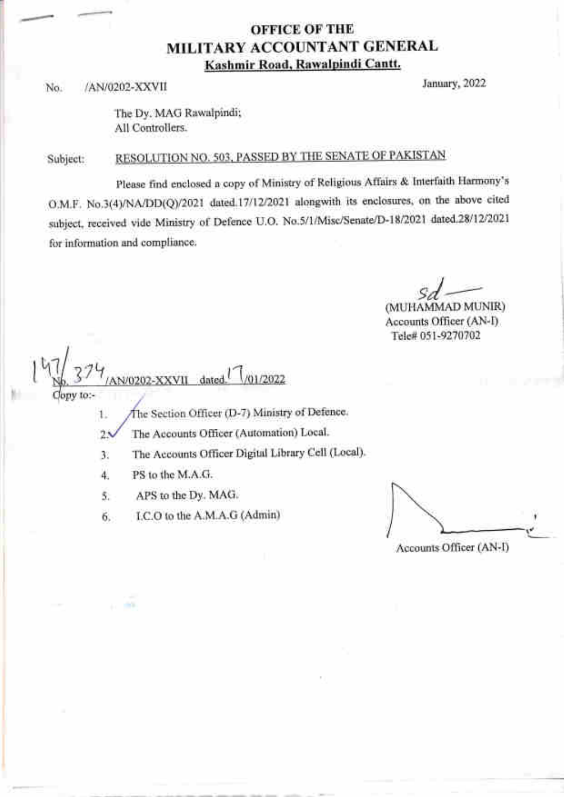### OFFICE OF THE MILITARY ACCOUNTANT GENERAL Kashmir Road, Rawalpindi Cantt.

No. /AN/0202-XXVII January,2022

The Dy. MAG Rawalpindi; All Controllers.

RESOLUTION NO. 503, PASSED BY THE SENATE OF PAKISTAN Subject:

please find enclosed a copy of Ministry of Religious Affairs & Interfaith Harmony's O.M.F. No.3(4)/NA/DD(Q)/2021 dated.17/12/2021 alongwith its enclosures, on the above cited subject, received vide Ministry of Defence U.O. No.5/1/Misc/Senate/D-18/2021 dated.28/12/2021 for information and compliance

/01/2022

sd<sub>o</sub>

Accounts Officer (AN-I) Tele# 051-9270702

1

ony to:-

hir

1

The Section Officer (D-7) Ministry of Defence.

The Accounts Officer (Automation) Local.  $2\lambda$ 

a The Accounts Officer Digital Library Cell (Local).

4. PS to the M.A.G.

5. APS to the Dy. MAG.

1/0202-XXVII dated.

6, I.C.O to the A.M.A.G (Admin)

Accounts Officer (AN-D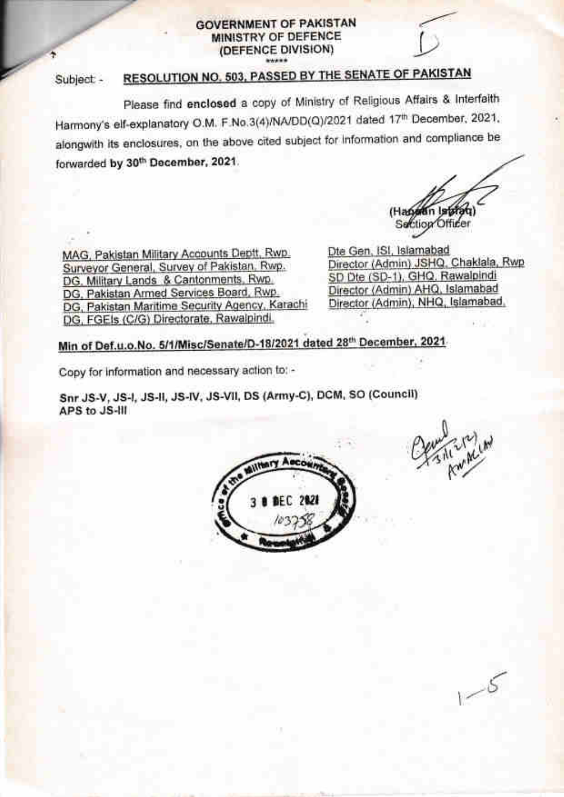#### **GOVERNMENT OF PAKISTAN** MINISTRY OF DEFENCE (DEFENCE DIVISION)

#### RESOLUTION NO. 503, PASSED BY THE SENATE OF PAKISTAN Subject -

Please find enclosed a copy of Ministry of Religious Affairs & Interfaith Harmony's elf-explanatory O.M. F.No.3(4)/NA/DD(Q)/2021 dated 17th December, 2021. alongwith its enclosures, on the above cited subject for information and compliance be forwarded by 30th December, 2021.

(Handin Isbfa Section Officer

MAG, Pakistan Military Accounts Deptt, Rwp. Surveyor General, Survey of Pakistan, Rwp. DG. Military Lands & Cantonments, Rwp. DG, Pakistan Armed Services Board, Rwp. DG, Pakistan Maritime Security Agency, Karachi DG, FGEIs (C/G) Directorate, Rawalpindi.

Dte Gen, ISI, Islamabad Director (Admin) JSHQ, Chaklala, Rwp SD Dte (SD-1), GHQ, Rawalpindi Director (Admin) AHQ, Islamabad Director (Admin), NHQ, Islamabad,

Min of Def.u.o.No. 5/1/Misc/Senate/D-18/2021 dated 28th December, 2021.

Copy for information and necessary action to: -

Snr JS-V, JS-I, JS-II, JS-IV, JS-VII, DS (Army-C), DCM, SO (Council) APS to JS-III



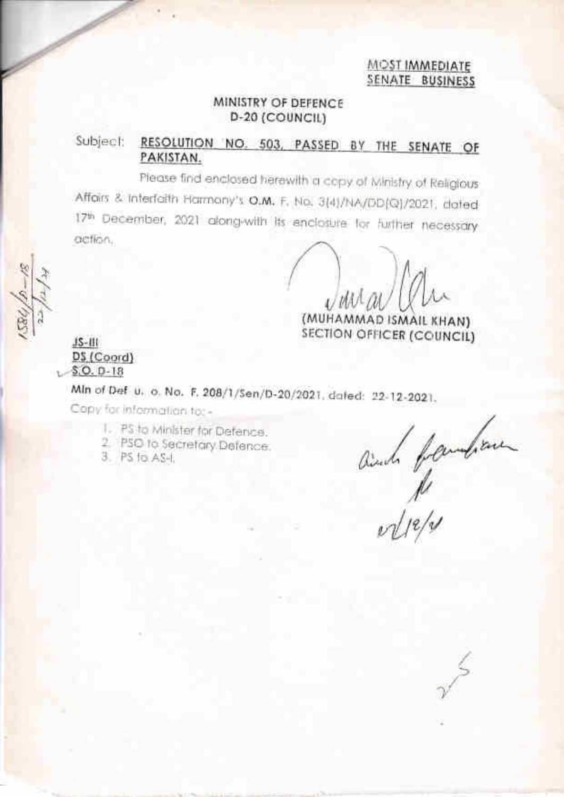#### MOST IMMEDIATE SENATE BUSINESS

#### MINISTRY OF DEFENCE D-20 (COUNCIL)

#### Subject: RESOLUTION NO. 503, PASSED BY THE SENATE OF PAKISTAN.

Please find enclosed herewith a copy of Ministry of Religious Affairs & Interfaith Harmony's O.M. F. No. 3(4)/NA/DD(Q)/2021, dated 17th December, 2021 along-with its enclosure for further necessary action.

(MUHAMMAD ISMAIL KHAN) SECTION OFFICER (COUNCIL)

#### $15 - 111$ DS (Coord)  $$.0.0.18$

Min of Def. u. o. No. F. 208/1/5en/D-20/2021. dated: 22-12-2021.

Copy for information to: +

- 1. PS to Minister for Defence.
- 2. PSO to Secretary Defence.
- 3. PS fo. AS-I.

and familien

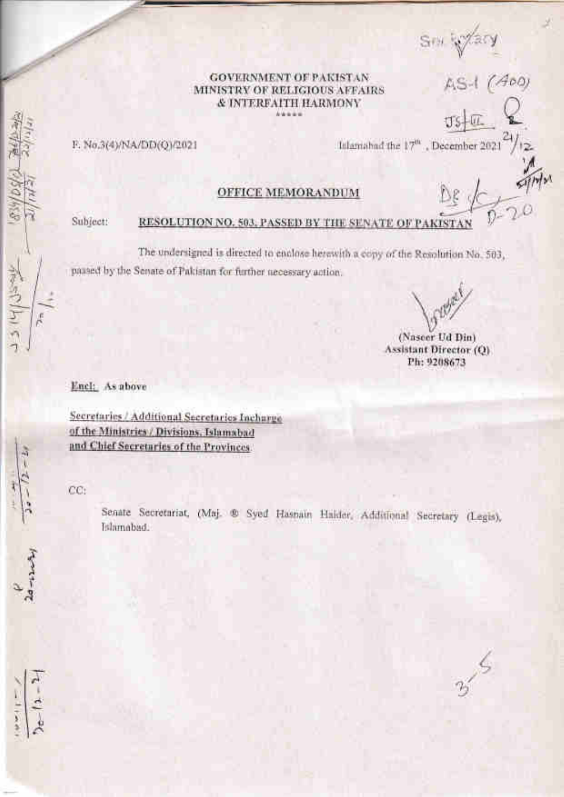Sm Sylary<br>AS-1 (ADO)

#### **GOVERNMENT OF PAKISTAN** MINISTRY OF RELIGIOUS AFFAIRS & INTERFAITH HARMONY

F. No.3(4)/NA/DD(Q)/2021

Islamshad the 17<sup>th</sup>, December 2021

os u

Subject:

**Versity** 

#### RESOLUTION NO. 503, PASSED BY THE SENATE OF PAKIST

**OFFICE MEMORANDUM** 

The undersigned is directed to enclose herewith a copy of the Resolution No. 503, passed by the Senate of Pakistan for further necessary action.

(Nascer Ud Din) Assistant Director (Q) Ph: 9208673

25

Encl: As above

Secretaries / Additional Secretaries Incharge of the Ministries / Divisions, Islamabad and Chief Secretaries of the Provinces.

 $CC:$ 

Senate Secretariat, (Maj. ® Syed Hasnain Haider, Additional Secretary (Legis), Islamabad.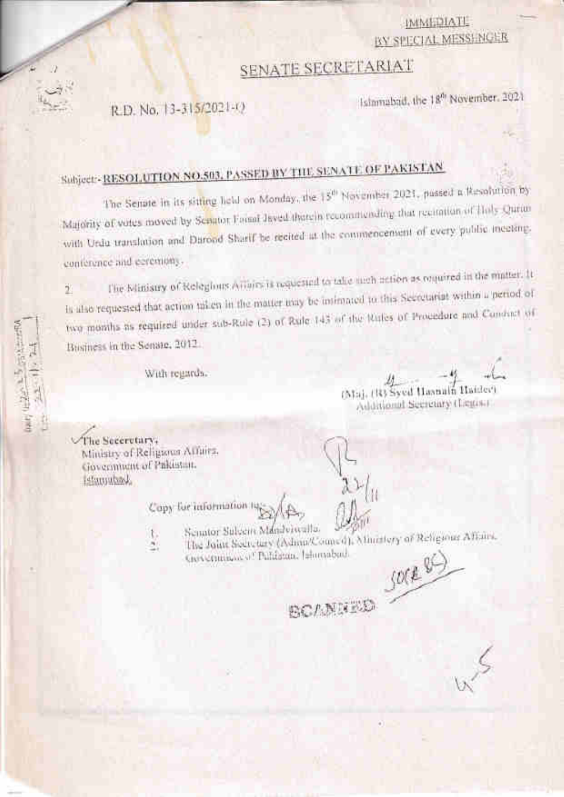## **IMMEDIATE** BY SPECIAL MESSENGER

# **SENATE SECRETARIAT**

R.D. No. 13-315/2021-0

Islamabad, the 18th November, 2021

# Subject: RESOLUTION NO.503, PASSED BY THE SENATE OF PARISTAN

The Senate in its sitting held on Monday, the 15<sup>th</sup> November 2021, passed a Resolution by Majority of votes moved by Sepator Formi Javed thatein recommending that recitation of Holy Qurin with Urdu translation and Darood Sharif be recited at the commencement of every public incetting. conference and ecremony.

The Ministry of Relegions Affairs is requested to take meh action as required in the matter. It Is also requested that action taken in the matter may be intimated to this Secretariat within a period of Ÿ. two months as required under sub-Rule (2) of Rule 143 of the Rules of Procedure and Candiat of Business in the Senate, 2012.

With regards.

(Maj. 1R) Syed Hasnain Haidee) Additional Secretary (Legist)

The Seceretary, Ministry of Religious Affairs, Government of Pakistan. **Ledumuted** 

1987年第一年第一

FE (WE)

Copy for information to

- Senator Suleem Mandeiwalla. ţ,
- The Joint Secretary (Ashau/Council), Miniatery of Religious Affairs, ×, Giovennino of Publistin, Jaharabad.

BOANNED SOCKED